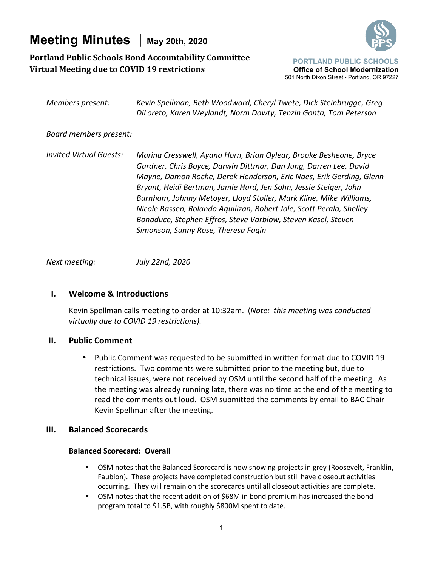# **Meeting Minutes** | May 20th, 2020



## **Portland Public Schools Bond Accountability Committee Virtual Meeting due to COVID 19 restrictions**



| Members present:               | Kevin Spellman, Beth Woodward, Cheryl Twete, Dick Steinbrugge, Greg<br>DiLoreto, Karen Weylandt, Norm Dowty, Tenzin Gonta, Tom Peterson                                                                                                                                                                                                                                                                                                                                                                                                   |
|--------------------------------|-------------------------------------------------------------------------------------------------------------------------------------------------------------------------------------------------------------------------------------------------------------------------------------------------------------------------------------------------------------------------------------------------------------------------------------------------------------------------------------------------------------------------------------------|
| Board members present:         |                                                                                                                                                                                                                                                                                                                                                                                                                                                                                                                                           |
| <b>Invited Virtual Guests:</b> | Marina Cresswell, Ayana Horn, Brian Oylear, Brooke Besheone, Bryce<br>Gardner, Chris Boyce, Darwin Dittmar, Dan Jung, Darren Lee, David<br>Mayne, Damon Roche, Derek Henderson, Eric Naes, Erik Gerding, Glenn<br>Bryant, Heidi Bertman, Jamie Hurd, Jen Sohn, Jessie Steiger, John<br>Burnham, Johnny Metoyer, Lloyd Stoller, Mark Kline, Mike Williams,<br>Nicole Bassen, Rolando Aquilizan, Robert Jole, Scott Perala, Shelley<br>Bonaduce, Stephen Effros, Steve Varblow, Steven Kasel, Steven<br>Simonson, Sunny Rose, Theresa Fagin |

*Next meeting: July 22nd, 2020* 

## **I. Welcome & Introductions**

Kevin Spellman calls meeting to order at 10:32am. (*Note: this meeting was conducted virtually due to COVID 19 restrictions).*

## **II. Public Comment**

• Public Comment was requested to be submitted in written format due to COVID 19 restrictions. Two comments were submitted prior to the meeting but, due to technical issues, were not received by OSM until the second half of the meeting. As the meeting was already running late, there was no time at the end of the meeting to read the comments out loud. OSM submitted the comments by email to BAC Chair Kevin Spellman after the meeting.

## **III. Balanced Scorecards**

## **Balanced Scorecard: Overall**

- OSM notes that the Balanced Scorecard is now showing projects in grey (Roosevelt, Franklin, Faubion). These projects have completed construction but still have closeout activities occurring. They will remain on the scorecards until all closeout activities are complete.
- OSM notes that the recent addition of \$68M in bond premium has increased the bond program total to \$1.5B, with roughly \$800M spent to date.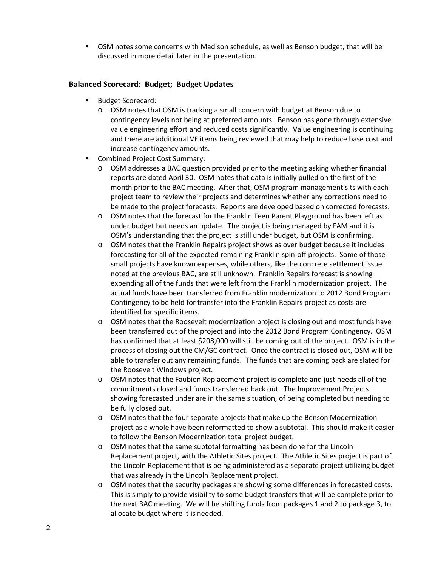• OSM notes some concerns with Madison schedule, as well as Benson budget, that will be discussed in more detail later in the presentation.

## **Balanced Scorecard: Budget; Budget Updates**

- Budget Scorecard:
	- o OSM notes that OSM is tracking a small concern with budget at Benson due to contingency levels not being at preferred amounts. Benson has gone through extensive value engineering effort and reduced costs significantly. Value engineering is continuing and there are additional VE items being reviewed that may help to reduce base cost and increase contingency amounts.
- Combined Project Cost Summary:
	- o OSM addresses a BAC question provided prior to the meeting asking whether financial reports are dated April 30. OSM notes that data is initially pulled on the first of the month prior to the BAC meeting. After that, OSM program management sits with each project team to review their projects and determines whether any corrections need to be made to the project forecasts. Reports are developed based on corrected forecasts.
	- o OSM notes that the forecast for the Franklin Teen Parent Playground has been left as under budget but needs an update. The project is being managed by FAM and it is OSM's understanding that the project is still under budget, but OSM is confirming.
	- o OSM notes that the Franklin Repairs project shows as over budget because it includes forecasting for all of the expected remaining Franklin spin-off projects. Some of those small projects have known expenses, while others, like the concrete settlement issue noted at the previous BAC, are still unknown. Franklin Repairs forecast is showing expending all of the funds that were left from the Franklin modernization project. The actual funds have been transferred from Franklin modernization to 2012 Bond Program Contingency to be held for transfer into the Franklin Repairs project as costs are identified for specific items.
	- o OSM notes that the Roosevelt modernization project is closing out and most funds have been transferred out of the project and into the 2012 Bond Program Contingency. OSM has confirmed that at least \$208,000 will still be coming out of the project. OSM is in the process of closing out the CM/GC contract. Once the contract is closed out, OSM will be able to transfer out any remaining funds. The funds that are coming back are slated for the Roosevelt Windows project.
	- o OSM notes that the Faubion Replacement project is complete and just needs all of the commitments closed and funds transferred back out. The Improvement Projects showing forecasted under are in the same situation, of being completed but needing to be fully closed out.
	- o OSM notes that the four separate projects that make up the Benson Modernization project as a whole have been reformatted to show a subtotal. This should make it easier to follow the Benson Modernization total project budget.
	- o OSM notes that the same subtotal formatting has been done for the Lincoln Replacement project, with the Athletic Sites project. The Athletic Sites project is part of the Lincoln Replacement that is being administered as a separate project utilizing budget that was already in the Lincoln Replacement project.
	- o OSM notes that the security packages are showing some differences in forecasted costs. This is simply to provide visibility to some budget transfers that will be complete prior to the next BAC meeting. We will be shifting funds from packages 1 and 2 to package 3, to allocate budget where it is needed.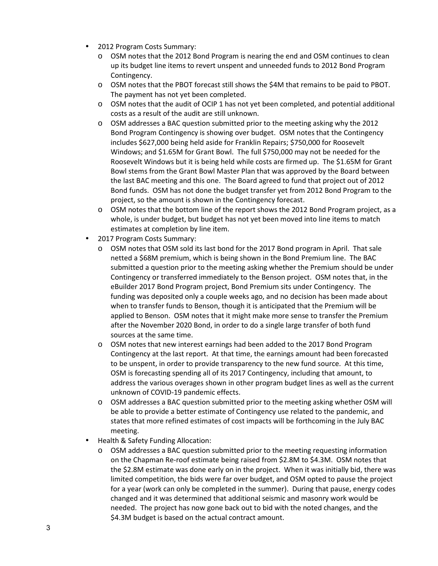- 2012 Program Costs Summary:
	- o OSM notes that the 2012 Bond Program is nearing the end and OSM continues to clean up its budget line items to revert unspent and unneeded funds to 2012 Bond Program Contingency.
	- o OSM notes that the PBOT forecast still shows the \$4M that remains to be paid to PBOT. The payment has not yet been completed.
	- $\circ$  OSM notes that the audit of OCIP 1 has not yet been completed, and potential additional costs as a result of the audit are still unknown.
	- o OSM addresses a BAC question submitted prior to the meeting asking why the 2012 Bond Program Contingency is showing over budget. OSM notes that the Contingency includes \$627,000 being held aside for Franklin Repairs; \$750,000 for Roosevelt Windows; and \$1.65M for Grant Bowl. The full \$750,000 may not be needed for the Roosevelt Windows but it is being held while costs are firmed up. The \$1.65M for Grant Bowl stems from the Grant Bowl Master Plan that was approved by the Board between the last BAC meeting and this one. The Board agreed to fund that project out of 2012 Bond funds. OSM has not done the budget transfer yet from 2012 Bond Program to the project, so the amount is shown in the Contingency forecast.
	- o OSM notes that the bottom line of the report shows the 2012 Bond Program project, as a whole, is under budget, but budget has not yet been moved into line items to match estimates at completion by line item.
- 2017 Program Costs Summary:
	- o OSM notes that OSM sold its last bond for the 2017 Bond program in April. That sale netted a \$68M premium, which is being shown in the Bond Premium line. The BAC submitted a question prior to the meeting asking whether the Premium should be under Contingency or transferred immediately to the Benson project. OSM notes that, in the eBuilder 2017 Bond Program project, Bond Premium sits under Contingency. The funding was deposited only a couple weeks ago, and no decision has been made about when to transfer funds to Benson, though it is anticipated that the Premium will be applied to Benson. OSM notes that it might make more sense to transfer the Premium after the November 2020 Bond, in order to do a single large transfer of both fund sources at the same time.
	- o OSM notes that new interest earnings had been added to the 2017 Bond Program Contingency at the last report. At that time, the earnings amount had been forecasted to be unspent, in order to provide transparency to the new fund source. At this time, OSM is forecasting spending all of its 2017 Contingency, including that amount, to address the various overages shown in other program budget lines as well as the current unknown of COVID-19 pandemic effects.
	- $\circ$  OSM addresses a BAC question submitted prior to the meeting asking whether OSM will be able to provide a better estimate of Contingency use related to the pandemic, and states that more refined estimates of cost impacts will be forthcoming in the July BAC meeting.
- Health & Safety Funding Allocation:
	- o OSM addresses a BAC question submitted prior to the meeting requesting information on the Chapman Re-roof estimate being raised from \$2.8M to \$4.3M. OSM notes that the \$2.8M estimate was done early on in the project. When it was initially bid, there was limited competition, the bids were far over budget, and OSM opted to pause the project for a year (work can only be completed in the summer). During that pause, energy codes changed and it was determined that additional seismic and masonry work would be needed. The project has now gone back out to bid with the noted changes, and the \$4.3M budget is based on the actual contract amount.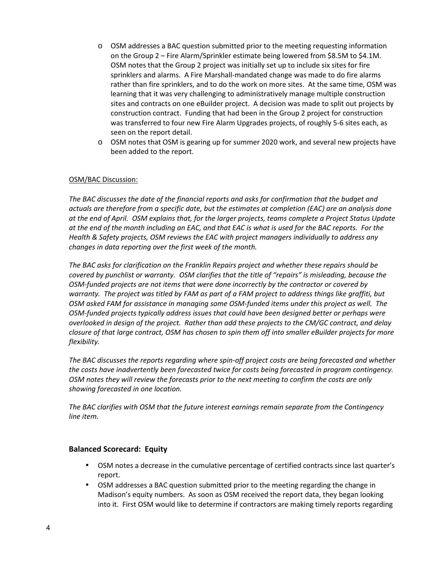- $\circ$  OSM addresses a BAC question submitted prior to the meeting requesting information on the Group 2 – Fire Alarm/Sprinkler estimate being lowered from \$8.5M to \$4.1M. OSM notes that the Group 2 project was initially set up to include six sites for fire sprinklers and alarms. A Fire Marshall-mandated change was made to do fire alarms rather than fire sprinklers, and to do the work on more sites. At the same time, OSM was learning that it was very challenging to administratively manage multiple construction sites and contracts on one eBuilder project. A decision was made to split out projects by construction contract. Funding that had been in the Group 2 project for construction was transferred to four new Fire Alarm Upgrades projects, of roughly 5-6 sites each, as seen on the report detail.
- o OSM notes that OSM is gearing up for summer 2020 work, and several new projects have been added to the report.

*The BAC discusses the date of the financial reports and asks for confirmation that the budget and actuals are therefore from a specific date, but the estimates at completion (EAC) are an analysis done at the end of April. OSM explains that, for the larger projects, teams complete a Project Status Update at the end of the month including an EAC, and that EAC is what is used for the BAC reports. For the Health & Safety projects, OSM reviews the EAC with project managers individually to address any changes in data reporting over the first week of the month.* 

*The BAC asks for clarification on the Franklin Repairs project and whether these repairs should be covered by punchlist or warranty. OSM clarifies that the title of "repairs" is misleading, because the OSM-funded projects are not items that were done incorrectly by the contractor or covered by warranty. The project was titled by FAM as part of a FAM project to address things like graffiti, but OSM asked FAM for assistance in managing some OSM-funded items under this project as well. The OSM-funded projects typically address issues that could have been designed better or perhaps were overlooked in design of the project. Rather than add these projects to the CM/GC contract, and delay closure of that large contract, OSM has chosen to spin them off into smaller eBuilder projects for more flexibility.* 

*The BAC discusses the reports regarding where spin-off project costs are being forecasted and whether the costs have inadvertently been forecasted twice for costs being forecasted in program contingency. OSM notes they will review the forecasts prior to the next meeting to confirm the costs are only showing forecasted in one location.* 

*The BAC clarifies with OSM that the future interest earnings remain separate from the Contingency line item.* 

## **Balanced Scorecard: Equity**

- OSM notes a decrease in the cumulative percentage of certified contracts since last quarter's report.
- OSM addresses a BAC question submitted prior to the meeting regarding the change in Madison's equity numbers. As soon as OSM received the report data, they began looking into it. First OSM would like to determine if contractors are making timely reports regarding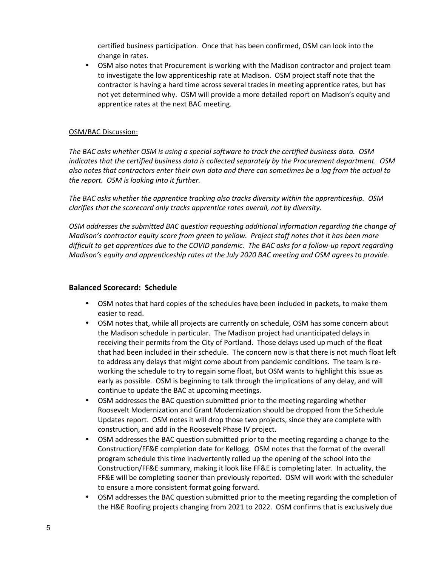certified business participation. Once that has been confirmed, OSM can look into the change in rates.

• OSM also notes that Procurement is working with the Madison contractor and project team to investigate the low apprenticeship rate at Madison. OSM project staff note that the contractor is having a hard time across several trades in meeting apprentice rates, but has not yet determined why. OSM will provide a more detailed report on Madison's equity and apprentice rates at the next BAC meeting.

## OSM/BAC Discussion:

*The BAC asks whether OSM is using a special software to track the certified business data. OSM indicates that the certified business data is collected separately by the Procurement department. OSM also notes that contractors enter their own data and there can sometimes be a lag from the actual to the report. OSM is looking into it further.* 

*The BAC asks whether the apprentice tracking also tracks diversity within the apprenticeship. OSM clarifies that the scorecard only tracks apprentice rates overall, not by diversity.* 

*OSM addresses the submitted BAC question requesting additional information regarding the change of Madison's contractor equity score from green to yellow. Project staff notes that it has been more difficult to get apprentices due to the COVID pandemic. The BAC asks for a follow-up report regarding Madison's equity and apprenticeship rates at the July 2020 BAC meeting and OSM agrees to provide.* 

## **Balanced Scorecard: Schedule**

- OSM notes that hard copies of the schedules have been included in packets, to make them easier to read.
- OSM notes that, while all projects are currently on schedule, OSM has some concern about the Madison schedule in particular. The Madison project had unanticipated delays in receiving their permits from the City of Portland. Those delays used up much of the float that had been included in their schedule. The concern now is that there is not much float left to address any delays that might come about from pandemic conditions. The team is reworking the schedule to try to regain some float, but OSM wants to highlight this issue as early as possible. OSM is beginning to talk through the implications of any delay, and will continue to update the BAC at upcoming meetings.
- OSM addresses the BAC question submitted prior to the meeting regarding whether Roosevelt Modernization and Grant Modernization should be dropped from the Schedule Updates report. OSM notes it will drop those two projects, since they are complete with construction, and add in the Roosevelt Phase IV project.
- OSM addresses the BAC question submitted prior to the meeting regarding a change to the Construction/FF&E completion date for Kellogg. OSM notes that the format of the overall program schedule this time inadvertently rolled up the opening of the school into the Construction/FF&E summary, making it look like FF&E is completing later. In actuality, the FF&E will be completing sooner than previously reported. OSM will work with the scheduler to ensure a more consistent format going forward.
- OSM addresses the BAC question submitted prior to the meeting regarding the completion of the H&E Roofing projects changing from 2021 to 2022. OSM confirms that is exclusively due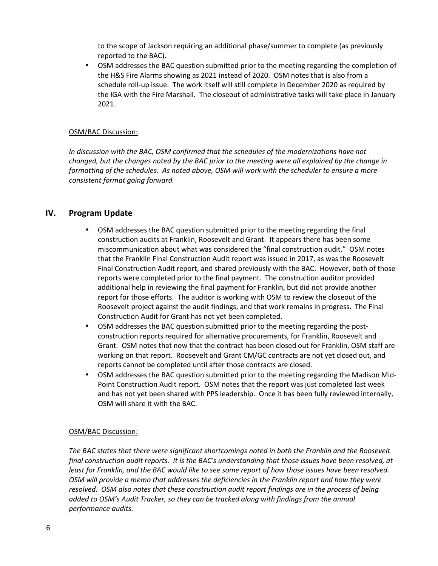to the scope of Jackson requiring an additional phase/summer to complete (as previously reported to the BAC).

• OSM addresses the BAC question submitted prior to the meeting regarding the completion of the H&S Fire Alarms showing as 2021 instead of 2020. OSM notes that is also from a schedule roll-up issue. The work itself will still complete in December 2020 as required by the IGA with the Fire Marshall. The closeout of administrative tasks will take place in January 2021.

#### OSM/BAC Discussion:

*In discussion with the BAC, OSM confirmed that the schedules of the modernizations have not changed, but the changes noted by the BAC prior to the meeting were all explained by the change in formatting of the schedules. As noted above, OSM will work with the scheduler to ensure a more consistent format going forward.* 

## **IV. Program Update**

- OSM addresses the BAC question submitted prior to the meeting regarding the final construction audits at Franklin, Roosevelt and Grant. It appears there has been some miscommunication about what was considered the "final construction audit." OSM notes that the Franklin Final Construction Audit report was issued in 2017, as was the Roosevelt Final Construction Audit report, and shared previously with the BAC. However, both of those reports were completed prior to the final payment. The construction auditor provided additional help in reviewing the final payment for Franklin, but did not provide another report for those efforts. The auditor is working with OSM to review the closeout of the Roosevelt project against the audit findings, and that work remains in progress. The Final Construction Audit for Grant has not yet been completed.
- OSM addresses the BAC question submitted prior to the meeting regarding the postconstruction reports required for alternative procurements, for Franklin, Roosevelt and Grant. OSM notes that now that the contract has been closed out for Franklin, OSM staff are working on that report. Roosevelt and Grant CM/GC contracts are not yet closed out, and reports cannot be completed until after those contracts are closed.
- OSM addresses the BAC question submitted prior to the meeting regarding the Madison Mid-Point Construction Audit report. OSM notes that the report was just completed last week and has not yet been shared with PPS leadership. Once it has been fully reviewed internally, OSM will share it with the BAC.

## OSM/BAC Discussion:

*The BAC states that there were significant shortcomings noted in both the Franklin and the Roosevelt final construction audit reports. It is the BAC's understanding that those issues have been resolved, at least for Franklin, and the BAC would like to see some report of how those issues have been resolved. OSM will provide a memo that addresses the deficiencies in the Franklin report and how they were resolved. OSM also notes that these construction audit report findings are in the process of being added to OSM's Audit Tracker, so they can be tracked along with findings from the annual performance audits.*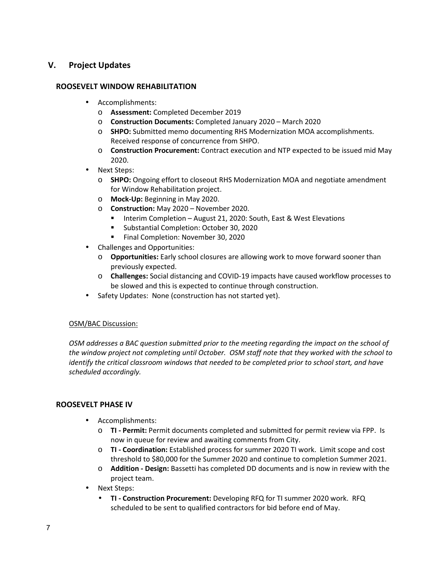## **V. Project Updates**

## **ROOSEVELT WINDOW REHABILITATION**

- Accomplishments:
	- o **Assessment:** Completed December 2019
	- o **Construction Documents:** Completed January 2020 March 2020
	- o **SHPO:** Submitted memo documenting RHS Modernization MOA accomplishments. Received response of concurrence from SHPO.
	- o **Construction Procurement:** Contract execution and NTP expected to be issued mid May 2020.
- Next Steps:
	- o **SHPO:** Ongoing effort to closeout RHS Modernization MOA and negotiate amendment for Window Rehabilitation project.
	- o **Mock-Up:** Beginning in May 2020.
	- o **Construction:** May 2020 November 2020.
		- Interim Completion August 21, 2020: South, East & West Elevations
		- **Substantial Completion: October 30, 2020**
		- **Final Completion: November 30, 2020**
- Challenges and Opportunities:
	- o **Opportunities:** Early school closures are allowing work to move forward sooner than previously expected.
	- o **Challenges:** Social distancing and COVID-19 impacts have caused workflow processes to be slowed and this is expected to continue through construction.
- Safety Updates: None (construction has not started yet).

## OSM/BAC Discussion:

*OSM addresses a BAC question submitted prior to the meeting regarding the impact on the school of the window project not completing until October. OSM staff note that they worked with the school to identify the critical classroom windows that needed to be completed prior to school start, and have scheduled accordingly.* 

## **ROOSEVELT PHASE IV**

- Accomplishments:
	- o **TI Permit:** Permit documents completed and submitted for permit review via FPP. Is now in queue for review and awaiting comments from City.
	- o **TI Coordination:** Established process for summer 2020 TI work. Limit scope and cost threshold to \$80,000 for the Summer 2020 and continue to completion Summer 2021.
	- o **Addition Design:** Bassetti has completed DD documents and is now in review with the project team.
- Next Steps:
	- **TI Construction Procurement:** Developing RFQ for TI summer 2020 work. RFQ scheduled to be sent to qualified contractors for bid before end of May.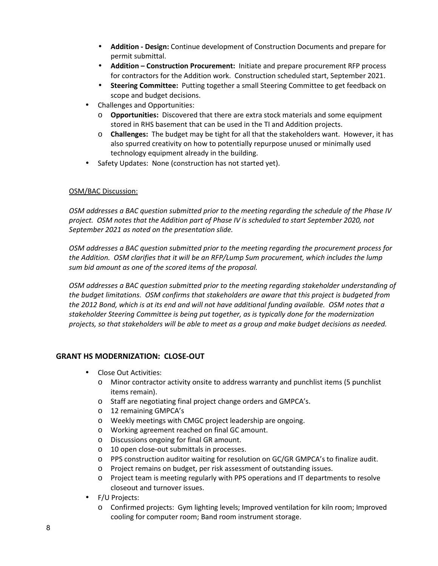- **Addition Design:** Continue development of Construction Documents and prepare for permit submittal.
- **Addition Construction Procurement:** Initiate and prepare procurement RFP process for contractors for the Addition work. Construction scheduled start, September 2021.
- **Steering Committee:** Putting together a small Steering Committee to get feedback on scope and budget decisions.
- Challenges and Opportunities:
	- o **Opportunities:** Discovered that there are extra stock materials and some equipment stored in RHS basement that can be used in the TI and Addition projects.
	- o **Challenges:** The budget may be tight for all that the stakeholders want. However, it has also spurred creativity on how to potentially repurpose unused or minimally used technology equipment already in the building.
- Safety Updates: None (construction has not started yet).

*OSM addresses a BAC question submitted prior to the meeting regarding the schedule of the Phase IV project. OSM notes that the Addition part of Phase IV is scheduled to start September 2020, not September 2021 as noted on the presentation slide.* 

*OSM addresses a BAC question submitted prior to the meeting regarding the procurement process for the Addition. OSM clarifies that it will be an RFP/Lump Sum procurement, which includes the lump sum bid amount as one of the scored items of the proposal.* 

*OSM addresses a BAC question submitted prior to the meeting regarding stakeholder understanding of the budget limitations. OSM confirms that stakeholders are aware that this project is budgeted from the 2012 Bond, which is at its end and will not have additional funding available. OSM notes that a stakeholder Steering Committee is being put together, as is typically done for the modernization projects, so that stakeholders will be able to meet as a group and make budget decisions as needed.* 

## **GRANT HS MODERNIZATION: CLOSE-OUT**

- Close Out Activities:
	- o Minor contractor activity onsite to address warranty and punchlist items (5 punchlist items remain).
	- o Staff are negotiating final project change orders and GMPCA's.
	- o 12 remaining GMPCA's
	- o Weekly meetings with CMGC project leadership are ongoing.
	- o Working agreement reached on final GC amount.
	- o Discussions ongoing for final GR amount.
	- o 10 open close-out submittals in processes.
	- o PPS construction auditor waiting for resolution on GC/GR GMPCA's to finalize audit.
	- o Project remains on budget, per risk assessment of outstanding issues.
	- o Project team is meeting regularly with PPS operations and IT departments to resolve closeout and turnover issues.
- F/U Projects:
	- o Confirmed projects: Gym lighting levels; Improved ventilation for kiln room; Improved cooling for computer room; Band room instrument storage.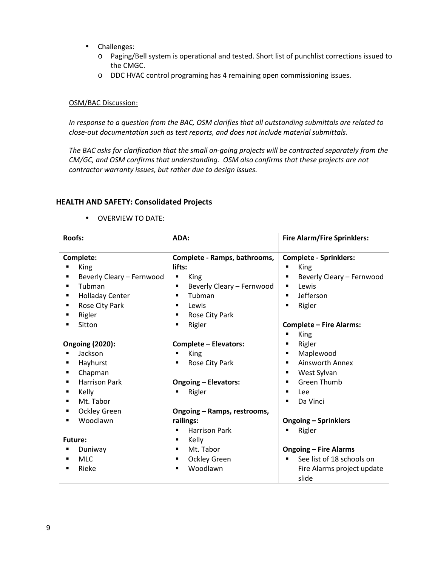- Challenges:
	- o Paging/Bell system is operational and tested. Short list of punchlist corrections issued to the CMGC.
	- o DDC HVAC control programing has 4 remaining open commissioning issues.

*In response to a question from the BAC, OSM clarifies that all outstanding submittals are related to close-out documentation such as test reports, and does not include material submittals.* 

*The BAC asks for clarification that the small on-going projects will be contracted separately from the CM/GC, and OSM confirms that understanding. OSM also confirms that these projects are not contractor warranty issues, but rather due to design issues.* 

## **HEALTH AND SAFETY: Consolidated Projects**

| <b>Roofs:</b>                                                                                                                                | ADA:                                                                                                                                                                                            | <b>Fire Alarm/Fire Sprinklers:</b>                                                                                                                                                                                |
|----------------------------------------------------------------------------------------------------------------------------------------------|-------------------------------------------------------------------------------------------------------------------------------------------------------------------------------------------------|-------------------------------------------------------------------------------------------------------------------------------------------------------------------------------------------------------------------|
| Complete:<br>King<br>Beverly Cleary - Fernwood<br>Tubman<br>٠<br><b>Holladay Center</b><br>٠<br>Rose City Park<br>٠<br>Rigler<br>٠<br>Sitton | Complete - Ramps, bathrooms,<br>lifts:<br>King<br>п<br>Beverly Cleary - Fernwood<br>п<br>Tubman<br>$\blacksquare$<br>Lewis<br>$\blacksquare$<br>Rose City Park<br>٠<br>Rigler<br>$\blacksquare$ | <b>Complete - Sprinklers:</b><br>King<br>$\blacksquare$<br>Beverly Cleary - Fernwood<br>٠<br>Lewis<br>٠<br>Jefferson<br>٠<br>Rigler<br>$\blacksquare$<br><b>Complete - Fire Alarms:</b><br>King<br>$\blacksquare$ |
| <b>Ongoing (2020):</b><br>Jackson<br>$\blacksquare$                                                                                          | <b>Complete - Elevators:</b><br>King                                                                                                                                                            | Rigler<br>٠<br>Maplewood<br>٠                                                                                                                                                                                     |
| Hayhurst<br>$\blacksquare$                                                                                                                   | Rose City Park<br>$\blacksquare$                                                                                                                                                                | Ainsworth Annex<br>$\blacksquare$                                                                                                                                                                                 |
| Chapman<br>٠                                                                                                                                 |                                                                                                                                                                                                 | West Sylvan<br>$\blacksquare$                                                                                                                                                                                     |
| <b>Harrison Park</b>                                                                                                                         | <b>Ongoing - Elevators:</b>                                                                                                                                                                     | Green Thumb<br>٠                                                                                                                                                                                                  |
| Kelly                                                                                                                                        | Rigler                                                                                                                                                                                          | Lee<br>$\blacksquare$                                                                                                                                                                                             |
| Mt. Tabor                                                                                                                                    |                                                                                                                                                                                                 | Da Vinci<br>$\blacksquare$                                                                                                                                                                                        |
| <b>Ockley Green</b><br>٠                                                                                                                     | Ongoing - Ramps, restrooms,                                                                                                                                                                     |                                                                                                                                                                                                                   |
| Woodlawn<br>٠                                                                                                                                | railings:                                                                                                                                                                                       | <b>Ongoing - Sprinklers</b>                                                                                                                                                                                       |
|                                                                                                                                              | <b>Harrison Park</b><br>$\blacksquare$                                                                                                                                                          | Rigler                                                                                                                                                                                                            |
| <b>Future:</b>                                                                                                                               | Kelly<br>٠                                                                                                                                                                                      |                                                                                                                                                                                                                   |
| Duniway<br>п                                                                                                                                 | Mt. Tabor<br>$\blacksquare$                                                                                                                                                                     | <b>Ongoing - Fire Alarms</b>                                                                                                                                                                                      |
| <b>MLC</b><br>٠                                                                                                                              | <b>Ockley Green</b><br>٠                                                                                                                                                                        | See list of 18 schools on<br>$\blacksquare$                                                                                                                                                                       |
| Rieke<br>$\blacksquare$                                                                                                                      | Woodlawn<br>$\blacksquare$                                                                                                                                                                      | Fire Alarms project update<br>slide                                                                                                                                                                               |

• OVERVIEW TO DATE: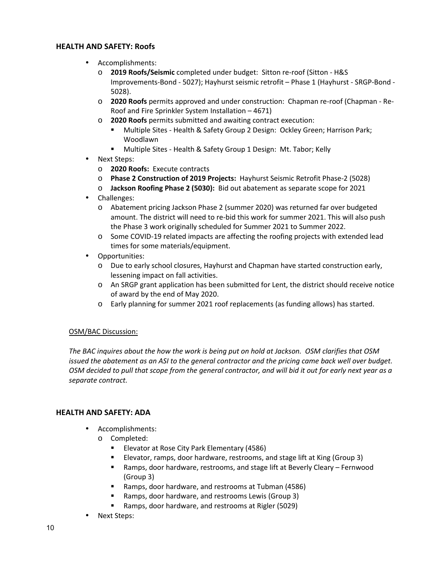## **HEALTH AND SAFETY: Roofs**

- Accomplishments:
	- o **2019 Roofs/Seismic** completed under budget: Sitton re-roof (Sitton H&S Improvements-Bond - 5027); Hayhurst seismic retrofit – Phase 1 (Hayhurst - SRGP-Bond - 5028).
	- o **2020 Roofs** permits approved and under construction: Chapman re-roof (Chapman Re-Roof and Fire Sprinkler System Installation – 4671)
	- o **2020 Roofs** permits submitted and awaiting contract execution:
		- Multiple Sites Health & Safety Group 2 Design: Ockley Green; Harrison Park; Woodlawn
		- **Multiple Sites Health & Safety Group 1 Design: Mt. Tabor; Kelly**
- Next Steps:
	- o **2020 Roofs:** Execute contracts
	- o **Phase 2 Construction of 2019 Projects:** Hayhurst Seismic Retrofit Phase-2 (5028)
	- o **Jackson Roofing Phase 2 (5030):** Bid out abatement as separate scope for 2021
- Challenges:
	- o Abatement pricing Jackson Phase 2 (summer 2020) was returned far over budgeted amount. The district will need to re-bid this work for summer 2021. This will also push the Phase 3 work originally scheduled for Summer 2021 to Summer 2022.
	- o Some COVID-19 related impacts are affecting the roofing projects with extended lead times for some materials/equipment.
- Opportunities:
	- o Due to early school closures, Hayhurst and Chapman have started construction early, lessening impact on fall activities.
	- o An SRGP grant application has been submitted for Lent, the district should receive notice of award by the end of May 2020.
	- o Early planning for summer 2021 roof replacements (as funding allows) has started.

## OSM/BAC Discussion:

*The BAC inquires about the how the work is being put on hold at Jackson. OSM clarifies that OSM issued the abatement as an ASI to the general contractor and the pricing came back well over budget. OSM decided to pull that scope from the general contractor, and will bid it out for early next year as a separate contract.* 

## **HEALTH AND SAFETY: ADA**

- Accomplishments:
	- o Completed:
		- **Elevator at Rose City Park Elementary (4586)**
		- Elevator, ramps, door hardware, restrooms, and stage lift at King (Group 3)
		- Ramps, door hardware, restrooms, and stage lift at Beverly Cleary Fernwood (Group 3)
		- Ramps, door hardware, and restrooms at Tubman (4586)
		- Ramps, door hardware, and restrooms Lewis (Group 3)
		- Ramps, door hardware, and restrooms at Rigler (5029)
- Next Steps: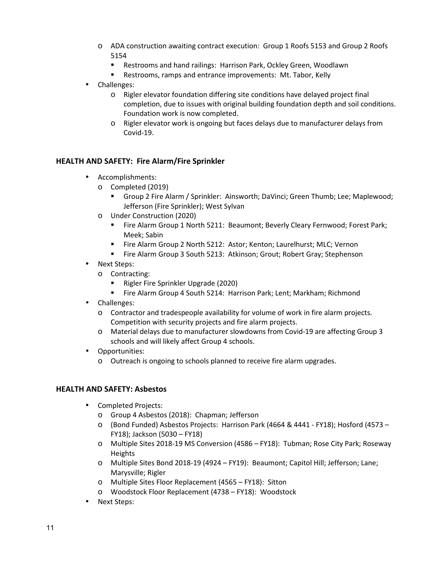- o ADA construction awaiting contract execution: Group 1 Roofs 5153 and Group 2 Roofs 5154
	- Restrooms and hand railings: Harrison Park, Ockley Green, Woodlawn
	- **Restrooms, ramps and entrance improvements: Mt. Tabor, Kelly**
- Challenges:
	- o Rigler elevator foundation differing site conditions have delayed project final completion, due to issues with original building foundation depth and soil conditions. Foundation work is now completed.
	- o Rigler elevator work is ongoing but faces delays due to manufacturer delays from Covid-19.

## **HEALTH AND SAFETY: Fire Alarm/Fire Sprinkler**

- Accomplishments:
	- o Completed (2019)
		- Group 2 Fire Alarm / Sprinkler: Ainsworth; DaVinci; Green Thumb; Lee; Maplewood; Jefferson (Fire Sprinkler); West Sylvan
	- o Under Construction (2020)
		- Fire Alarm Group 1 North 5211: Beaumont; Beverly Cleary Fernwood; Forest Park; Meek; Sabin
		- Fire Alarm Group 2 North 5212: Astor; Kenton; Laurelhurst; MLC; Vernon
		- Fire Alarm Group 3 South 5213: Atkinson; Grout; Robert Gray; Stephenson
- Next Steps:
	- o Contracting:
		- Rigler Fire Sprinkler Upgrade (2020)
		- Fire Alarm Group 4 South 5214: Harrison Park; Lent; Markham; Richmond
- Challenges:
	- o Contractor and tradespeople availability for volume of work in fire alarm projects. Competition with security projects and fire alarm projects.
	- o Material delays due to manufacturer slowdowns from Covid-19 are affecting Group 3 schools and will likely affect Group 4 schools.
- Opportunities:
	- o Outreach is ongoing to schools planned to receive fire alarm upgrades.

## **HEALTH AND SAFETY: Asbestos**

- Completed Projects:
	- o Group 4 Asbestos (2018): Chapman; Jefferson
	- o (Bond Funded) Asbestos Projects: Harrison Park (4664 & 4441 FY18); Hosford (4573 FY18); Jackson (5030 – FY18)
	- o Multiple Sites 2018-19 MS Conversion (4586 FY18): Tubman; Rose City Park; Roseway Heights
	- o Multiple Sites Bond 2018-19 (4924 FY19): Beaumont; Capitol Hill; Jefferson; Lane; Marysville; Rigler
	- o Multiple Sites Floor Replacement (4565 FY18): Sitton
	- o Woodstock Floor Replacement (4738 FY18): Woodstock
- Next Steps: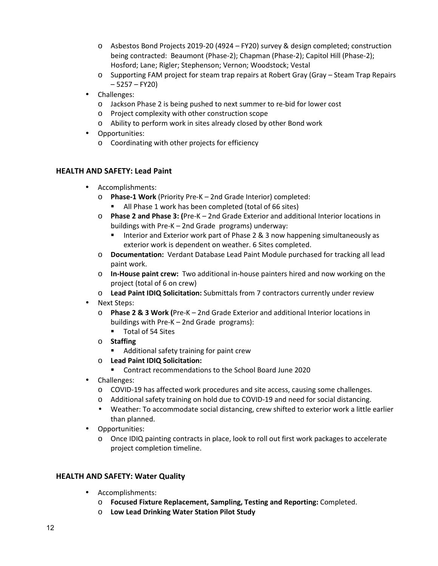- o Asbestos Bond Projects 2019-20 (4924 FY20) survey & design completed; construction being contracted: Beaumont (Phase-2); Chapman (Phase-2); Capitol Hill (Phase-2); Hosford; Lane; Rigler; Stephenson; Vernon; Woodstock; Vestal
- o Supporting FAM project for steam trap repairs at Robert Gray (Gray Steam Trap Repairs  $-5257 - FY20$
- Challenges:
	- o Jackson Phase 2 is being pushed to next summer to re-bid for lower cost
	- o Project complexity with other construction scope
	- o Ability to perform work in sites already closed by other Bond work
- Opportunities:
	- o Coordinating with other projects for efficiency

## **HEALTH AND SAFETY: Lead Paint**

- Accomplishments:
	- o **Phase-1 Work** (Priority Pre-K 2nd Grade Interior) completed:
		- All Phase 1 work has been completed (total of 66 sites)
	- o **Phase 2 and Phase 3: (**Pre-K 2nd Grade Exterior and additional Interior locations in buildings with Pre-K – 2nd Grade programs) underway:
		- **Interior and Exterior work part of Phase 2 & 3 now happening simultaneously as** exterior work is dependent on weather. 6 Sites completed.
	- o **Documentation:** Verdant Database Lead Paint Module purchased for tracking all lead paint work.
	- o **In-House paint crew:** Two additional in-house painters hired and now working on the project (total of 6 on crew)
	- o **Lead Paint IDIQ Solicitation:** Submittals from 7 contractors currently under review
- Next Steps:
	- o **Phase 2 & 3 Work (**Pre-K 2nd Grade Exterior and additional Interior locations in buildings with Pre-K – 2nd Grade programs):
		- **Total of 54 Sites**
	- o **Staffing**
		- **Additional safety training for paint crew**
	- o **Lead Paint IDIQ Solicitation:**
		- Contract recommendations to the School Board June 2020
- Challenges:
	- o COVID-19 has affected work procedures and site access, causing some challenges.
	- o Additional safety training on hold due to COVID-19 and need for social distancing.
	- Weather: To accommodate social distancing, crew shifted to exterior work a little earlier than planned.
- Opportunities:
	- o Once IDIQ painting contracts in place, look to roll out first work packages to accelerate project completion timeline.

## **HEALTH AND SAFETY: Water Quality**

- Accomplishments:
	- o **Focused Fixture Replacement, Sampling, Testing and Reporting:** Completed.
	- o **Low Lead Drinking Water Station Pilot Study**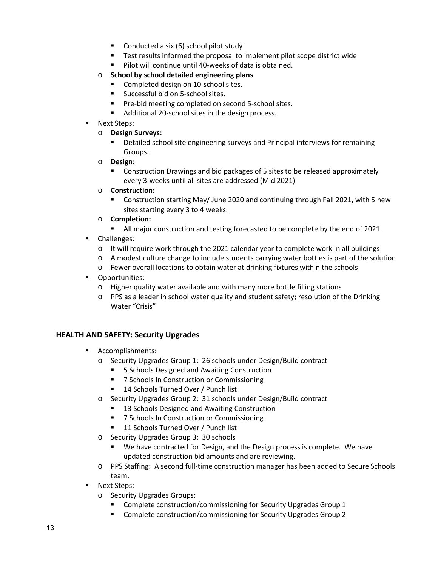- **Conducted a six (6) school pilot study**
- **Test results informed the proposal to implement pilot scope district wide**
- **Pilot will continue until 40-weeks of data is obtained.**
- o **School by school detailed engineering plans** 
	- Completed design on 10-school sites.
	- **Successful bid on 5-school sites.**
	- **Pre-bid meeting completed on second 5-school sites.**
	- Additional 20-school sites in the design process.
- Next Steps:
	- o **Design Surveys:**
		- Detailed school site engineering surveys and Principal interviews for remaining Groups.
	- o **Design:**
		- Construction Drawings and bid packages of 5 sites to be released approximately every 3-weeks until all sites are addressed (Mid 2021)
	- o **Construction:**
		- Construction starting May/ June 2020 and continuing through Fall 2021, with 5 new sites starting every 3 to 4 weeks.
	- o **Completion:**
		- I All major construction and testing forecasted to be complete by the end of 2021.
- Challenges:
	- $\circ$  It will require work through the 2021 calendar year to complete work in all buildings
	- $\circ$  A modest culture change to include students carrying water bottles is part of the solution
	- o Fewer overall locations to obtain water at drinking fixtures within the schools
- Opportunities:
	- o Higher quality water available and with many more bottle filling stations
	- o PPS as a leader in school water quality and student safety; resolution of the Drinking Water "Crisis"

## **HEALTH AND SAFETY: Security Upgrades**

- Accomplishments:
	- o Security Upgrades Group 1: 26 schools under Design/Build contract
		- 5 Schools Designed and Awaiting Construction
		- 7 Schools In Construction or Commissioning
		- 14 Schools Turned Over / Punch list
	- o Security Upgrades Group 2: 31 schools under Design/Build contract
		- 13 Schools Designed and Awaiting Construction
		- 7 Schools In Construction or Commissioning
		- 11 Schools Turned Over / Punch list
	- o Security Upgrades Group 3: 30 schools
		- We have contracted for Design, and the Design process is complete. We have updated construction bid amounts and are reviewing.
	- o PPS Staffing: A second full-time construction manager has been added to Secure Schools team.
- Next Steps:
	- o Security Upgrades Groups:
		- **EXECOMPLET CONSTRUCTION** Commissioning for Security Upgrades Group 1
		- **EXP** Complete construction/commissioning for Security Upgrades Group 2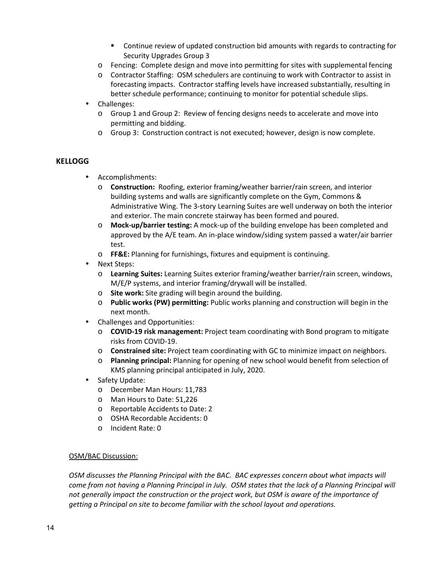- Continue review of updated construction bid amounts with regards to contracting for Security Upgrades Group 3
- o Fencing: Complete design and move into permitting for sites with supplemental fencing
- o Contractor Staffing: OSM schedulers are continuing to work with Contractor to assist in forecasting impacts. Contractor staffing levels have increased substantially, resulting in better schedule performance; continuing to monitor for potential schedule slips.
- Challenges:
	- o Group 1 and Group 2: Review of fencing designs needs to accelerate and move into permitting and bidding.
	- o Group 3: Construction contract is not executed; however, design is now complete.

## **KELLOGG**

- Accomplishments:
	- o **Construction:** Roofing, exterior framing/weather barrier/rain screen, and interior building systems and walls are significantly complete on the Gym, Commons & Administrative Wing. The 3-story Learning Suites are well underway on both the interior and exterior. The main concrete stairway has been formed and poured.
	- o **Mock-up/barrier testing:** A mock-up of the building envelope has been completed and approved by the A/E team. An in-place window/siding system passed a water/air barrier test.
	- o **FF&E:** Planning for furnishings, fixtures and equipment is continuing.
- Next Steps:
	- o **Learning Suites:** Learning Suites exterior framing/weather barrier/rain screen, windows, M/E/P systems, and interior framing/drywall will be installed.
	- o **Site work:** Site grading will begin around the building.
	- o **Public works (PW) permitting:** Public works planning and construction will begin in the next month.
- Challenges and Opportunities:
	- o **COVID-19 risk management:** Project team coordinating with Bond program to mitigate risks from COVID-19.
	- o **Constrained site:** Project team coordinating with GC to minimize impact on neighbors.
	- o **Planning principal:** Planning for opening of new school would benefit from selection of KMS planning principal anticipated in July, 2020.
- Safety Update:
	- o December Man Hours: 11,783
	- o Man Hours to Date: 51,226
	- o Reportable Accidents to Date: 2
	- o OSHA Recordable Accidents: 0
	- o Incident Rate: 0

## OSM/BAC Discussion:

*OSM discusses the Planning Principal with the BAC. BAC expresses concern about what impacts will come from not having a Planning Principal in July. OSM states that the lack of a Planning Principal will not generally impact the construction or the project work, but OSM is aware of the importance of getting a Principal on site to become familiar with the school layout and operations.*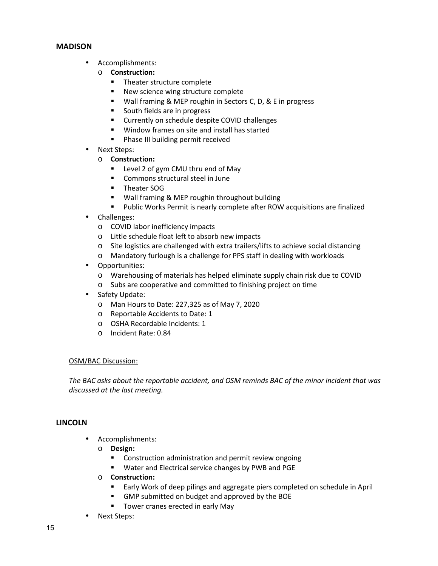## **MADISON**

- Accomplishments:
	- o **Construction:** 
		- **Theater structure complete**
		- New science wing structure complete
		- Wall framing & MEP roughin in Sectors C, D, & E in progress
		- South fields are in progress
		- **EXECUTE CUTTER IVIOR COVID Challenges**
		- **Window frames on site and install has started**
		- **Phase III building permit received**
- Next Steps:
	- o **Construction:** 
		- **E** Level 2 of gym CMU thru end of May
		- **EXECOMMONS structural steel in June**
		- **Theater SOG**
		- **Wall framing & MEP roughin throughout building**
		- Public Works Permit is nearly complete after ROW acquisitions are finalized
- Challenges:
	- o COVID labor inefficiency impacts
	- o Little schedule float left to absorb new impacts
	- o Site logistics are challenged with extra trailers/lifts to achieve social distancing
	- o Mandatory furlough is a challenge for PPS staff in dealing with workloads
- Opportunities:
	- o Warehousing of materials has helped eliminate supply chain risk due to COVID
	- o Subs are cooperative and committed to finishing project on time
- Safety Update:
	- o Man Hours to Date: 227,325 as of May 7, 2020
	- o Reportable Accidents to Date: 1
	- o OSHA Recordable Incidents: 1
	- o Incident Rate: 0.84

## OSM/BAC Discussion:

*The BAC asks about the reportable accident, and OSM reminds BAC of the minor incident that was discussed at the last meeting.* 

## **LINCOLN**

- Accomplishments:
	- o **Design:** 
		- Construction administration and permit review ongoing
		- Water and Electrical service changes by PWB and PGE
	- o **Construction:** 
		- **Early Work of deep pilings and aggregate piers completed on schedule in April**
		- GMP submitted on budget and approved by the BOE
		- **Tower cranes erected in early May**
- Next Steps: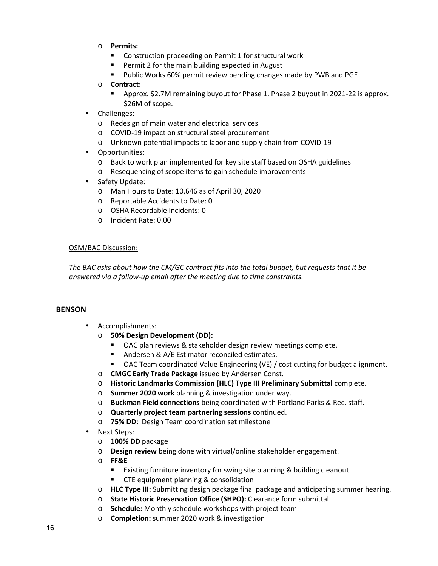- o **Permits:** 
	- **EXECONSTRUCTION PROCEEDING** ON Permit 1 for structural work
	- **Permit 2 for the main building expected in August**
	- **Public Works 60% permit review pending changes made by PWB and PGE**

## o **Contract:**

- Approx. \$2.7M remaining buyout for Phase 1. Phase 2 buyout in 2021-22 is approx. \$26M of scope.
- Challenges:
	- o Redesign of main water and electrical services
	- o COVID-19 impact on structural steel procurement
	- o Unknown potential impacts to labor and supply chain from COVID-19
- Opportunities:
	- o Back to work plan implemented for key site staff based on OSHA guidelines
	- o Resequencing of scope items to gain schedule improvements
- Safety Update:
	- o Man Hours to Date: 10,646 as of April 30, 2020
	- o Reportable Accidents to Date: 0
	- o OSHA Recordable Incidents: 0
	- o Incident Rate: 0.00

## OSM/BAC Discussion:

*The BAC asks about how the CM/GC contract fits into the total budget, but requests that it be answered via a follow-up email after the meeting due to time constraints.* 

## **BENSON**

- Accomplishments:
	- o **50% Design Development (DD):**
		- OAC plan reviews & stakeholder design review meetings complete.
		- Andersen & A/E Estimator reconciled estimates.
		- OAC Team coordinated Value Engineering (VE) / cost cutting for budget alignment.
	- o **CMGC Early Trade Package** issued by Andersen Const.
	- o **Historic Landmarks Commission (HLC) Type III Preliminary Submittal** complete.
	- o **Summer 2020 work** planning & investigation under way.
	- o **Buckman Field connections** being coordinated with Portland Parks & Rec. staff.
	- o **Quarterly project team partnering sessions** continued.
	- o **75% DD:** Design Team coordination set milestone
- Next Steps:
	- o **100% DD** package
	- o **Design review** being done with virtual/online stakeholder engagement.
	- o **FF&E**
		- **EXisting furniture inventory for swing site planning & building cleanout**
		- **EXECTE equipment planning & consolidation**
	- o **HLC Type III:** Submitting design package final package and anticipating summer hearing.
	- o **State Historic Preservation Office (SHPO):** Clearance form submittal
	- o **Schedule:** Monthly schedule workshops with project team
	- o **Completion:** summer 2020 work & investigation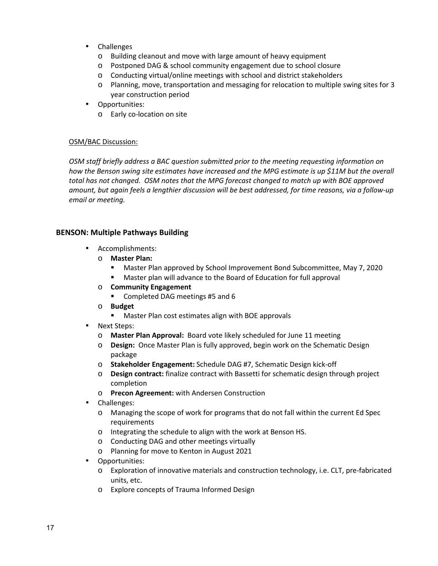- Challenges
	- o Building cleanout and move with large amount of heavy equipment
	- o Postponed DAG & school community engagement due to school closure
	- o Conducting virtual/online meetings with school and district stakeholders
	- o Planning, move, transportation and messaging for relocation to multiple swing sites for 3 year construction period
- Opportunities:
	- o Early co-location on site

*OSM staff briefly address a BAC question submitted prior to the meeting requesting information on*  how the Benson swing site estimates have increased and the MPG estimate is up \$11M but the overall *total has not changed. OSM notes that the MPG forecast changed to match up with BOE approved amount, but again feels a lengthier discussion will be best addressed, for time reasons, via a follow-up email or meeting.* 

## **BENSON: Multiple Pathways Building**

- Accomplishments:
	- o **Master Plan:**
		- Master Plan approved by School Improvement Bond Subcommittee, May 7, 2020
		- Master plan will advance to the Board of Education for full approval
	- o **Community Engagement**
		- Completed DAG meetings #5 and 6
	- o **Budget**
		- Master Plan cost estimates align with BOE approvals
	- Next Steps:
		- o **Master Plan Approval:** Board vote likely scheduled for June 11 meeting
		- o **Design:** Once Master Plan is fully approved, begin work on the Schematic Design package
		- o **Stakeholder Engagement:** Schedule DAG #7, Schematic Design kick-off
		- o **Design contract:** finalize contract with Bassetti for schematic design through project completion
		- o **Precon Agreement:** with Andersen Construction
- Challenges:
	- o Managing the scope of work for programs that do not fall within the current Ed Spec requirements
	- o Integrating the schedule to align with the work at Benson HS.
	- o Conducting DAG and other meetings virtually
	- o Planning for move to Kenton in August 2021
- Opportunities:
	- o Exploration of innovative materials and construction technology, i.e. CLT, pre-fabricated units, etc.
	- o Explore concepts of Trauma Informed Design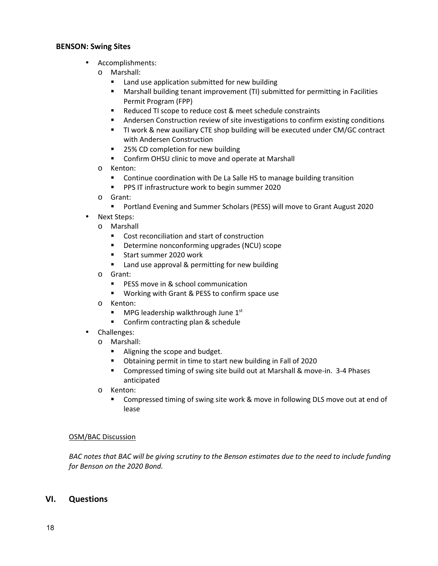## **BENSON: Swing Sites**

- Accomplishments:
	- o Marshall:
		- **EXECUTE:** Land use application submitted for new building
		- **Marshall building tenant improvement (TI) submitted for permitting in Facilities** Permit Program (FPP)
		- Reduced TI scope to reduce cost & meet schedule constraints
		- Andersen Construction review of site investigations to confirm existing conditions
		- TI work & new auxiliary CTE shop building will be executed under CM/GC contract with Andersen Construction
		- 25% CD completion for new building
		- **Confirm OHSU clinic to move and operate at Marshall**
	- o Kenton:
		- **EXECONTER CONTER 1** Continue coordination with De La Salle HS to manage building transition
		- **PPS IT infrastructure work to begin summer 2020**
	- o Grant:
		- Portland Evening and Summer Scholars (PESS) will move to Grant August 2020
- Next Steps:
	- o Marshall
		- Cost reconciliation and start of construction
		- **•** Determine nonconforming upgrades (NCU) scope
		- Start summer 2020 work
		- **E** Land use approval & permitting for new building
	- o Grant:
		- **PESS move in & school communication**
		- **Working with Grant & PESS to confirm space use**
	- o Kenton:
		- $\blacksquare$  MPG leadership walkthrough June 1st
		- **E** Confirm contracting plan & schedule
- Challenges:
	- o Marshall:
		- **Aligning the scope and budget.**
		- Obtaining permit in time to start new building in Fall of 2020
		- Compressed timing of swing site build out at Marshall & move-in. 3-4 Phases anticipated
	- o Kenton:
		- Compressed timing of swing site work & move in following DLS move out at end of lease

## OSM/BAC Discussion

*BAC notes that BAC will be giving scrutiny to the Benson estimates due to the need to include funding for Benson on the 2020 Bond.* 

## **VI. Questions**